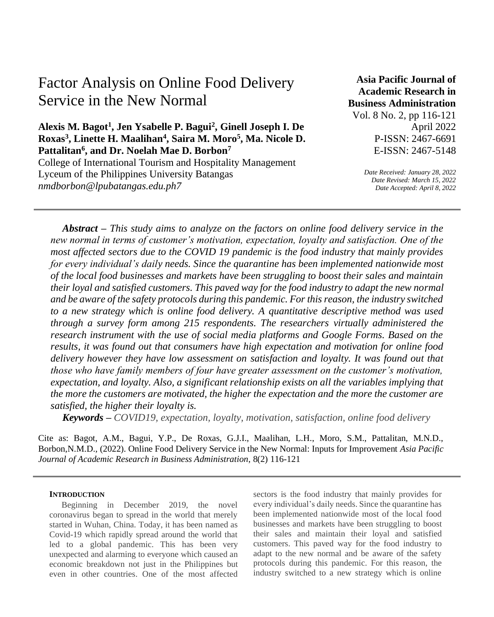# Factor Analysis on Online Food Delivery Service in the New Normal

**Alexis M. Bagot<sup>1</sup> , Jen Ysabelle P. Bagui<sup>2</sup> , Ginell Joseph I. De Roxas<sup>3</sup> , Linette H. Maalihan<sup>4</sup> , Saira M. Moro<sup>5</sup> , Ma. Nicole D. Pattalitan<sup>6</sup> , and Dr. Noelah Mae D. Borbon<sup>7</sup>** College of International Tourism and Hospitality Management Lyceum of the Philippines University Batangas *nmdborbon@lpubatangas.edu.ph7*

**Asia Pacific Journal of Academic Research in Business Administration**  Vol. 8 No. 2, pp 116-121 April 2022 P-ISSN: 2467-6691

E-ISSN: 2467-5148

*Date Received: January 28, 2022 Date Revised: March 15, 2022 Date Accepted: April 8, 2022*

*Abstract – This study aims to analyze on the factors on online food delivery service in the new normal in terms of customer's motivation, expectation, loyalty and satisfaction. One of the most affected sectors due to the COVID 19 pandemic is the food industry that mainly provides for every individual's daily needs. Since the quarantine has been implemented nationwide most of the local food businesses and markets have been struggling to boost their sales and maintain their loyal and satisfied customers. This paved way for the food industry to adapt the new normal and be aware of the safety protocols during this pandemic. For this reason, the industry switched to a new strategy which is online food delivery. A quantitative descriptive method was used through a survey form among 215 respondents. The researchers virtually administered the research instrument with the use of social media platforms and Google Forms. Based on the results, it was found out that consumers have high expectation and motivation for online food delivery however they have low assessment on satisfaction and loyalty. It was found out that those who have family members of four have greater assessment on the customer's motivation, expectation, and loyalty. Also, a significant relationship exists on all the variables implying that the more the customers are motivated, the higher the expectation and the more the customer are satisfied, the higher their loyalty is.*

*Keywords – COVID19, expectation, loyalty, motivation, satisfaction, online food delivery*

Cite as: Bagot, A.M., Bagui, Y.P., De Roxas, G.J.I., Maalihan, L.H., Moro, S.M., Pattalitan, M.N.D., Borbon,N.M.D., (2022). Online Food Delivery Service in the New Normal: Inputs for Improvement *Asia Pacific Journal of Academic Research in Business Administration*, 8(2) 116-121

#### **INTRODUCTION**

Beginning in December 2019, the novel coronavirus began to spread in the world that merely started in Wuhan, China. Today, it has been named as Covid-19 which rapidly spread around the world that led to a global pandemic. This has been very unexpected and alarming to everyone which caused an economic breakdown not just in the Philippines but even in other countries. One of the most affected

sectors is the food industry that mainly provides for every individual's daily needs. Since the quarantine has been implemented nationwide most of the local food businesses and markets have been struggling to boost their sales and maintain their loyal and satisfied customers. This paved way for the food industry to adapt to the new normal and be aware of the safety protocols during this pandemic. For this reason, the industry switched to a new strategy which is online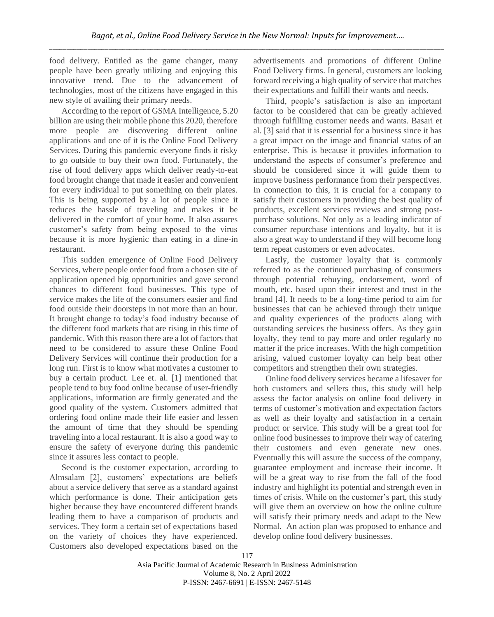food delivery. Entitled as the game changer, many people have been greatly utilizing and enjoying this innovative trend. Due to the advancement of technologies, most of the citizens have engaged in this new style of availing their primary needs.

According to the report of GSMA Intelligence, 5.20 billion are using their mobile phone this 2020, therefore more people are discovering different online applications and one of it is the Online Food Delivery Services. During this pandemic everyone finds it risky to go outside to buy their own food. Fortunately, the rise of food delivery apps which deliver ready-to-eat food brought change that made it easier and convenient for every individual to put something on their plates. This is being supported by a lot of people since it reduces the hassle of traveling and makes it be delivered in the comfort of your home. It also assures customer's safety from being exposed to the virus because it is more hygienic than eating in a dine-in restaurant.

This sudden emergence of Online Food Delivery Services, where people order food from a chosen site of application opened big opportunities and gave second chances to different food businesses. This type of service makes the life of the consumers easier and find food outside their doorsteps in not more than an hour. It brought change to today's food industry because of the different food markets that are rising in this time of pandemic. With this reason there are a lot of factors that need to be considered to assure these Online Food Delivery Services will continue their production for a long run. First is to know what motivates a customer to buy a certain product. Lee et. al. [1] mentioned that people tend to buy food online because of user-friendly applications, information are firmly generated and the good quality of the system. Customers admitted that ordering food online made their life easier and lessen the amount of time that they should be spending traveling into a local restaurant. It is also a good way to ensure the safety of everyone during this pandemic since it assures less contact to people.

Second is the customer expectation, according to Almsalam [2], customers' expectations are beliefs about a service delivery that serve as a standard against which performance is done. Their anticipation gets higher because they have encountered different brands leading them to have a comparison of products and services. They form a certain set of expectations based on the variety of choices they have experienced. Customers also developed expectations based on the advertisements and promotions of different Online Food Delivery firms. In general, customers are looking forward receiving a high quality of service that matches their expectations and fulfill their wants and needs.

Third, people's satisfaction is also an important factor to be considered that can be greatly achieved through fulfilling customer needs and wants. Basari et al. [3] said that it is essential for a business since it has a great impact on the image and financial status of an enterprise. This is because it provides information to understand the aspects of consumer's preference and should be considered since it will guide them to improve business performance from their perspectives. In connection to this, it is crucial for a company to satisfy their customers in providing the best quality of products, excellent services reviews and strong postpurchase solutions. Not only as a leading indicator of consumer repurchase intentions and loyalty, but it is also a great way to understand if they will become long term repeat customers or even advocates.

Lastly, the customer loyalty that is commonly referred to as the continued purchasing of consumers through potential rebuying, endorsement, word of mouth, etc. based upon their interest and trust in the brand [4]. It needs to be a long-time period to aim for businesses that can be achieved through their unique and quality experiences of the products along with outstanding services the business offers. As they gain loyalty, they tend to pay more and order regularly no matter if the price increases. With the high competition arising, valued customer loyalty can help beat other competitors and strengthen their own strategies.

Online food delivery services became a lifesaver for both customers and sellers thus, this study will help assess the factor analysis on online food delivery in terms of customer's motivation and expectation factors as well as their loyalty and satisfaction in a certain product or service. This study will be a great tool for online food businesses to improve their way of catering their customers and even generate new ones. Eventually this will assure the success of the company, guarantee employment and increase their income. It will be a great way to rise from the fall of the food industry and highlight its potential and strength even in times of crisis. While on the customer's part, this study will give them an overview on how the online culture will satisfy their primary needs and adapt to the New Normal. An action plan was proposed to enhance and develop online food delivery businesses.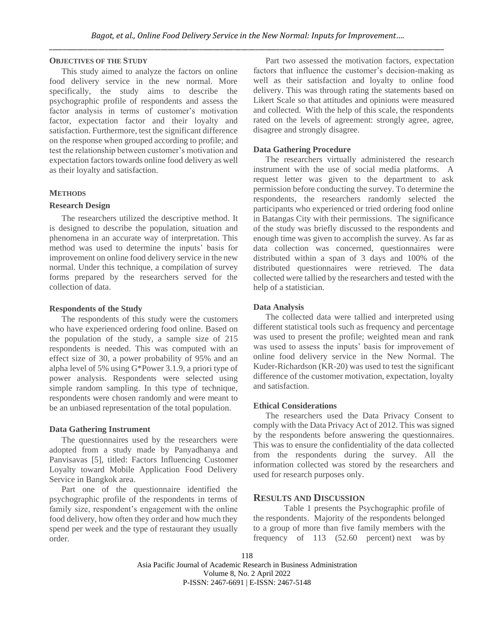#### **OBJECTIVES OF THE STUDY**

This study aimed to analyze the factors on online food delivery service in the new normal. More specifically, the study aims to describe the psychographic profile of respondents and assess the factor analysis in terms of customer's motivation factor, expectation factor and their loyalty and satisfaction. Furthermore, test the significant difference on the response when grouped according to profile; and test the relationship between customer's motivation and expectation factors towards online food delivery as well as their loyalty and satisfaction.

#### **METHODS**

#### **Research Design**

The researchers utilized the descriptive method. It is designed to describe the population, situation and phenomena in an accurate way of interpretation. This method was used to determine the inputs' basis for improvement on online food delivery service in the new normal. Under this technique, a compilation of survey forms prepared by the researchers served for the collection of data.

#### **Respondents of the Study**

The respondents of this study were the customers who have experienced ordering food online. Based on the population of the study, a sample size of 215 respondents is needed. This was computed with an effect size of 30, a power probability of 95% and an alpha level of 5% using G\*Power 3.1.9, a priori type of power analysis. Respondents were selected using simple random sampling. In this type of technique, respondents were chosen randomly and were meant to be an unbiased representation of the total population.

#### **Data Gathering Instrument**

The questionnaires used by the researchers were adopted from a study made by Panyadhanya and Panvisavas [5], titled: Factors Influencing Customer Loyalty toward Mobile Application Food Delivery Service in Bangkok area.

Part one of the questionnaire identified the psychographic profile of the respondents in terms of family size, respondent's engagement with the online food delivery, how often they order and how much they spend per week and the type of restaurant they usually order.

Part two assessed the motivation factors, expectation factors that influence the customer's decision-making as well as their satisfaction and loyalty to online food delivery. This was through rating the statements based on Likert Scale so that attitudes and opinions were measured and collected. With the help of this scale, the respondents rated on the levels of agreement: strongly agree, agree, disagree and strongly disagree.

#### **Data Gathering Procedure**

The researchers virtually administered the research instrument with the use of social media platforms. A request letter was given to the department to ask permission before conducting the survey. To determine the respondents, the researchers randomly selected the participants who experienced or tried ordering food online in Batangas City with their permissions. The significance of the study was briefly discussed to the respondents and enough time was given to accomplish the survey. As far as data collection was concerned, questionnaires were distributed within a span of 3 days and 100% of the distributed questionnaires were retrieved. The data collected were tallied by the researchers and tested with the help of a statistician.

#### **Data Analysis**

The collected data were tallied and interpreted using different statistical tools such as frequency and percentage was used to present the profile; weighted mean and rank was used to assess the inputs' basis for improvement of online food delivery service in the New Normal. The Kuder-Richardson (KR-20) was used to test the significant difference of the customer motivation, expectation, loyalty and satisfaction.

#### **Ethical Considerations**

The researchers used the Data Privacy Consent to comply with the Data Privacy Act of 2012. This was signed by the respondents before answering the questionnaires. This was to ensure the confidentiality of the data collected from the respondents during the survey. All the information collected was stored by the researchers and used for research purposes only.

#### **RESULTS AND DISCUSSION**

Table 1 presents the Psychographic profile of the respondents. Majority of the respondents belonged to a group of more than five family members with the frequency of 113 (52.60 percent) next was by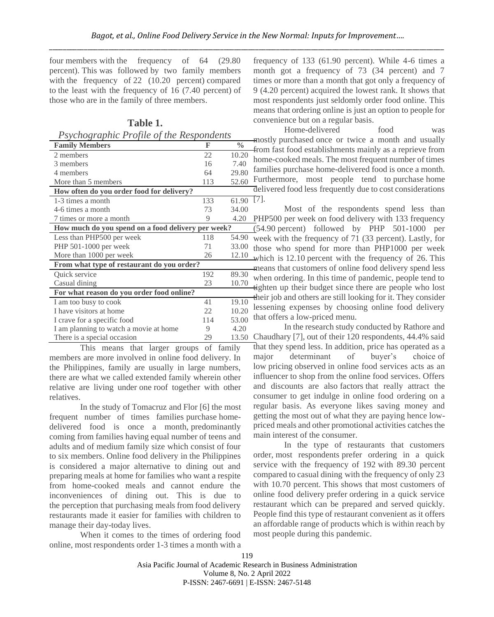four members with the frequency of 64 (29.80 percent). This was followed by two family members with the frequency of 22 (10.20 percent) compared to the least with the frequency of 16 (7.40 percent) of those who are in the family of three members.

# **Table 1.**

*Psychographic Profile of the Respondents*

| <b>Family Members</b>                              | F   | $\frac{0}{0}$ |  |  |
|----------------------------------------------------|-----|---------------|--|--|
| 2 members                                          | 22  | 10.20         |  |  |
| 3 members                                          | 16  | 7.40          |  |  |
| 4 members                                          | 64  | 29.80         |  |  |
| More than 5 members                                | 113 | 52.60         |  |  |
| How often do you order food for delivery?          |     |               |  |  |
| 1-3 times a month                                  | 133 | 61.90         |  |  |
| 4-6 times a month                                  | 73  | 34.00         |  |  |
| 7 times or more a month                            | 9   | 4.20          |  |  |
| How much do you spend on a food delivery per week? |     |               |  |  |
| Less than PHP500 per week                          | 118 | 54.90         |  |  |
| PHP 501-1000 per week                              | 71  | 33.00         |  |  |
| More than 1000 per week                            | 26  | 12.10         |  |  |
| From what type of restaurant do you order?         |     |               |  |  |
| <b>Ouick</b> service                               | 192 | 89.30         |  |  |
| Casual dining                                      | 23  | 10.70         |  |  |
| For what reason do you order food online?          |     |               |  |  |
| I am too busy to cook                              | 41  | 19.10         |  |  |
| I have visitors at home                            | 22  | 10.20         |  |  |
| I crave for a specific food                        | 114 | 53.00         |  |  |
| I am planning to watch a movie at home             | 9   | 4.20          |  |  |
| There is a special occasion                        | 29  | 13.50         |  |  |

This means that larger groups of family members are more involved in online food delivery. In the Philippines, family are usually in large numbers, there are what we called extended family wherein other relative are living under one roof together with other relatives.

In the study of Tomacruz and Flor [6] the most frequent number of times families purchase homedelivered food is once a month, predominantly coming from families having equal number of teens and adults and of medium family size which consist of four to six members. Online food delivery in the Philippines is considered a major alternative to dining out and preparing meals at home for families who want a respite from home-cooked meals and cannot endure the inconveniences of dining out. This is due to the perception that purchasing meals from food delivery restaurants made it easier for families with children to manage their day-today lives.

When it comes to the times of ordering food online, most respondents order 1-3 times a month with a

frequency of 133 (61.90 percent). While 4-6 times a month got a frequency of 73 (34 percent) and 7 times or more than a month that got only a frequency of 9 (4.20 percent) acquired the lowest rank. It shows that most respondents just seldomly order food online. This means that ordering online is just an option to people for convenience but on a regular basis.

Home-delivered food was mostly purchased once or twice a month and usually from fast food establishments mainly as a reprieve from home-cooked meals. The most frequent number of times families purchase home-delivered food is once a month. Furthermore, most people tend to purchase home delivered food less frequently due to cost considerations [7].

Most of the respondents spend less than PHP500 per week on food delivery with 133 frequency (54.90 percent) followed by PHP 501-1000 per week with the frequency of 71 (33 percent). Lastly, for those who spend for more than PHP1000 per week which is 12.10 percent with the frequency of 26. This means that customers of online food delivery spend less when ordering. In this time of pandemic, people tend to tighten up their budget since there are people who lost their job and others are still looking for it. They consider lessening expenses by choosing online food delivery that offers a low-priced menu.

In the research study conducted by Rathore and Chaudhary [7], out of their 120 respondents, 44.4% said that they spend less. In addition, price has operated as a major determinant of buyer's choice of low pricing observed in online food services acts as an influencer to shop from the online food services. Offers and discounts are also factors that really attract the consumer to get indulge in online food ordering on a regular basis. As everyone likes saving money and getting the most out of what they are paying hence lowpriced meals and other promotional activities catches the main interest of the consumer.

In the type of restaurants that customers order, most respondents prefer ordering in a quick service with the frequency of 192 with 89.30 percent compared to casual dining with the frequency of only 23 with 10.70 percent. This shows that most customers of online food delivery prefer ordering in a quick service restaurant which can be prepared and served quickly. People find this type of restaurant convenient as it offers an affordable range of products which is within reach by most people during this pandemic.

119

Asia Pacific Journal of Academic Research in Business Administration Volume 8, No. 2 April 2022 P-ISSN: 2467-6691 | E-ISSN: 2467-5148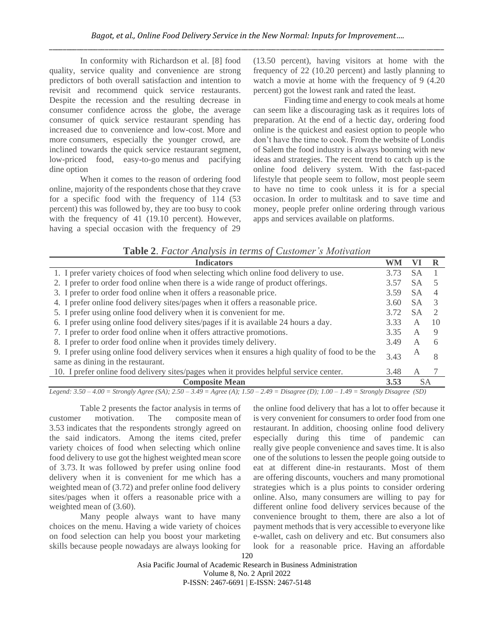In conformity with Richardson et al. [8] food quality, service quality and convenience are strong predictors of both overall satisfaction and intention to revisit and recommend quick service restaurants. Despite the recession and the resulting decrease in consumer confidence across the globe, the average consumer of quick service restaurant spending has increased due to convenience and low-cost. More and more consumers, especially the younger crowd, are inclined towards the quick service restaurant segment, low-priced food, easy-to-go menus and pacifying dine option

When it comes to the reason of ordering food online, majority of the respondents chose that they crave for a specific food with the frequency of 114 (53 percent) this was followed by, they are too busy to cook with the frequency of 41 (19.10 percent). However, having a special occasion with the frequency of 29 (13.50 percent), having visitors at home with the frequency of 22 (10.20 percent) and lastly planning to watch a movie at home with the frequency of 9 (4.20 percent) got the lowest rank and rated the least.

Finding time and energy to cook meals at home can seem like a discouraging task as it requires lots of preparation. At the end of a hectic day, ordering food online is the quickest and easiest option to people who don't have the time to cook. From the website of Londis of Salem the food industry is always booming with new ideas and strategies. The recent trend to catch up is the online food delivery system. With the fast-paced lifestyle that people seem to follow, most people seem to have no time to cook unless it is for a special occasion. In order to multitask and to save time and money, people prefer online ordering through various apps and services available on platforms.

| <b>Indicators</b>                                                                                                                     |      |           |           |
|---------------------------------------------------------------------------------------------------------------------------------------|------|-----------|-----------|
| 1. I prefer variety choices of food when selecting which online food delivery to use.                                                 |      | SА        |           |
| 2. I prefer to order food online when there is a wide range of product offerings.                                                     | 3.57 | SА        |           |
| 3. I prefer to order food online when it offers a reasonable price.                                                                   | 3.59 | <b>SA</b> | 4         |
| 4. I prefer online food delivery sites/pages when it offers a reasonable price.                                                       | 3.60 | <b>SA</b> | 3         |
| 5. I prefer using online food delivery when it is convenient for me.                                                                  |      | <b>SA</b> |           |
| 6. I prefer using online food delivery sites/pages if it is available 24 hours a day.                                                 |      | А         | 10        |
| 7. I prefer to order food online when it offers attractive promotions.                                                                |      | A         | 9         |
| 8. I prefer to order food online when it provides timely delivery.                                                                    |      | A         | 6         |
| 9. I prefer using online food delivery services when it ensures a high quality of food to be the<br>same as dining in the restaurant. |      | А         | 8         |
| 10. I prefer online food delivery sites/pages when it provides helpful service center.                                                |      | A         |           |
| <b>Composite Mean</b>                                                                                                                 |      |           | <b>SA</b> |

**Table 2**. *Factor Analysis in terms of Customer's Motivation*

*Legend: 3.50 – 4.00 = Strongly Agree (SA); 2.50 – 3.49 = Agree (A); 1.50 – 2.49 = Disagree (D); 1.00 – 1.49 = Strongly Disagree (SD)*

Table 2 presents the factor analysis in terms of customer motivation. The composite mean of 3.53 indicates that the respondents strongly agreed on the said indicators. Among the items cited, prefer variety choices of food when selecting which online food delivery to use got the highest weighted mean score of 3.73. It was followed by prefer using online food delivery when it is convenient for me which has a weighted mean of (3.72) and prefer online food delivery sites/pages when it offers a reasonable price with a weighted mean of (3.60).

Many people always want to have many choices on the menu. Having a wide variety of choices on food selection can help you boost your marketing skills because people nowadays are always looking for

the online food delivery that has a lot to offer because it is very convenient for consumers to order food from one restaurant. In addition, choosing online food delivery especially during this time of pandemic can really give people convenience and saves time. It is also one of the solutions to lessen the people going outside to eat at different dine-in restaurants. Most of them are offering discounts, vouchers and many promotional strategies which is a plus points to consider ordering online. Also, many consumers are willing to pay for different online food delivery services because of the convenience brought to them, there are also a lot of payment methods that is very accessible to everyone like e-wallet, cash on delivery and etc. But consumers also look for a reasonable price. Having an affordable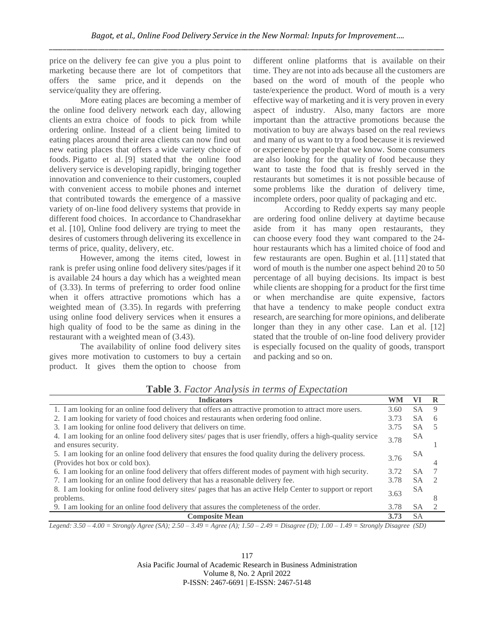price on the delivery fee can give you a plus point to marketing because there are lot of competitors that offers the same price, and it depends on the service/quality they are offering.

More eating places are becoming a member of the online food delivery network each day, allowing clients an extra choice of foods to pick from while ordering online. Instead of a client being limited to eating places around their area clients can now find out new eating places that offers a wide variety choice of foods. Pigatto et al. [9] stated that the online food delivery service is developing rapidly, bringing together innovation and convenience to their customers, coupled with convenient access to mobile phones and internet that contributed towards the emergence of a massive variety of on-line food delivery systems that provide in different food choices. In accordance to Chandrasekhar et al. [10], Online food delivery are trying to meet the desires of customers through delivering its excellence in terms of price, quality, delivery, etc.

However, among the items cited, lowest in rank is prefer using online food delivery sites/pages if it is available 24 hours a day which has a weighted mean of (3.33). In terms of preferring to order food online when it offers attractive promotions which has a weighted mean of (3.35). In regards with preferring using online food delivery services when it ensures a high quality of food to be the same as dining in the restaurant with a weighted mean of (3.43).

The availability of online food delivery sites gives more motivation to customers to buy a certain product. It gives them the option to choose from

different online platforms that is available on their time. They are not into ads because all the customers are based on the word of mouth of the people who taste/experience the product. Word of mouth is a very effective way of marketing and it is very proven in every aspect of industry. Also, many factors are more important than the attractive promotions because the motivation to buy are always based on the real reviews and many of us want to try a food because it is reviewed or experience by people that we know. Some consumers are also looking for the quality of food because they want to taste the food that is freshly served in the restaurants but sometimes it is not possible because of some problems like the duration of delivery time, incomplete orders, poor quality of packaging and etc.

According to Reddy experts say many people are ordering food online delivery at daytime because aside from it has many open restaurants, they can choose every food they want compared to the 24 hour restaurants which has a limited choice of food and few restaurants are open. Bughin et al. [11] stated that word of mouth is the number one aspect behind 20 to 50 percentage of all buying decisions. Its impact is best while clients are shopping for a product for the first time or when merchandise are quite expensive, factors that have a tendency to make people conduct extra research, are searching for more opinions, and deliberate longer than they in any other case. Lan et al. [12] stated that the trouble of on-line food delivery provider is especially focused on the quality of goods, transport and packing and so on.

| <b>Indicators</b>                                                                                                                         | <b>WM</b> | VI        |   |
|-------------------------------------------------------------------------------------------------------------------------------------------|-----------|-----------|---|
| 1. I am looking for an online food delivery that offers an attractive promotion to attract more users.                                    |           | SA        | 9 |
| 2. I am looking for variety of food choices and restaurants when ordering food online.                                                    | 3.73      | SА        | 6 |
| 3. I am looking for online food delivery that delivers on time.                                                                           | 3.75      | SA        |   |
| 4. I am looking for an online food delivery sites and pages that is user friendly, offers a high-quality service<br>and ensures security. | 3.78      | SА        |   |
| 5. I am looking for an online food delivery that ensures the food quality during the delivery process.<br>(Provides hot box or cold box). |           | SА        |   |
| 6. I am looking for an online food delivery that offers different modes of payment with high security.                                    |           | SA.       |   |
| 7. I am looking for an online food delivery that has a reasonable delivery fee.                                                           |           | <b>SA</b> |   |
| 8. I am looking for online food delivery sites/ pages that has an active Help Center to support or report<br>problems.                    |           | SА        |   |
| 9. I am looking for an online food delivery that assures the completeness of the order.                                                   |           | SA.       |   |
| <b>Composite Mean</b>                                                                                                                     | 3.73      | SА        |   |

**Table 3**. *Factor Analysis in terms of Expectation*

*Legend: 3.50 – 4.00 = Strongly Agree (SA); 2.50 – 3.49 = Agree (A); 1.50 – 2.49 = Disagree (D); 1.00 – 1.49 = Strongly Disagree (SD)*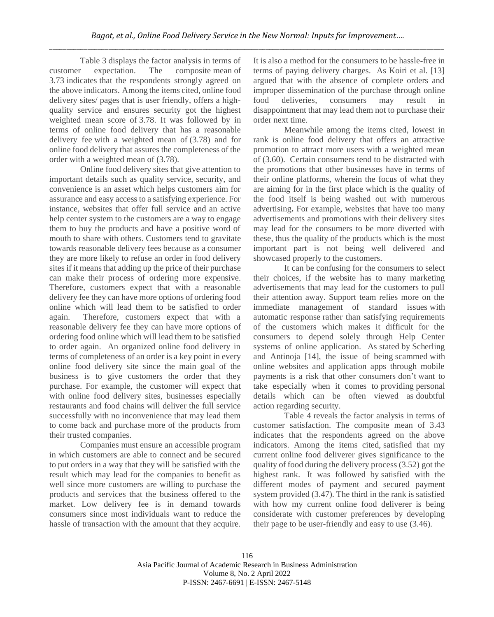Table 3 displays the factor analysis in terms of customer expectation. The composite mean of 3.73 indicates that the respondents strongly agreed on the above indicators. Among the items cited, online food delivery sites/ pages that is user friendly, offers a highquality service and ensures security got the highest weighted mean score of 3.78. It was followed by in terms of online food delivery that has a reasonable delivery fee with a weighted mean of (3.78) and for online food delivery that assures the completeness of the order with a weighted mean of (3.78).

Online food delivery sites that give attention to important details such as quality service, security, and convenience is an asset which helps customers aim for assurance and easy access to a satisfying experience. For instance, websites that offer full service and an active help center system to the customers are a way to engage them to buy the products and have a positive word of mouth to share with others. Customers tend to gravitate towards reasonable delivery fees because as a consumer they are more likely to refuse an order in food delivery sites if it means that adding up the price of their purchase can make their process of ordering more expensive. Therefore, customers expect that with a reasonable delivery fee they can have more options of ordering food online which will lead them to be satisfied to order again. Therefore, customers expect that with a reasonable delivery fee they can have more options of ordering food online which will lead them to be satisfied to order again. An organized online food delivery in terms of completeness of an order is a key point in every online food delivery site since the main goal of the business is to give customers the order that they purchase. For example, the customer will expect that with online food delivery sites, businesses especially restaurants and food chains will deliver the full service successfully with no inconvenience that may lead them to come back and purchase more of the products from their trusted companies.

Companies must ensure an accessible program in which customers are able to connect and be secured to put orders in a way that they will be satisfied with the result which may lead for the companies to benefit as well since more customers are willing to purchase the products and services that the business offered to the market. Low delivery fee is in demand towards consumers since most individuals want to reduce the hassle of transaction with the amount that they acquire. It is also a method for the consumers to be hassle-free in terms of paying delivery charges. As Koiri et al. [13] argued that with the absence of complete orders and improper dissemination of the purchase through online food deliveries, consumers may result in disappointment that may lead them not to purchase their order next time.

Meanwhile among the items cited, lowest in rank is online food delivery that offers an attractive promotion to attract more users with a weighted mean of (3.60). Certain consumers tend to be distracted with the promotions that other businesses have in terms of their online platforms, wherein the focus of what they are aiming for in the first place which is the quality of the food itself is being washed out with numerous advertising**.** For example, websites that have too many advertisements and promotions with their delivery sites may lead for the consumers to be more diverted with these, thus the quality of the products which is the most important part is not being well delivered and showcased properly to the customers.

It can be confusing for the consumers to select their choices, if the website has to many marketing advertisements that may lead for the customers to pull their attention away. Support team relies more on the immediate management of standard issues with automatic response rather than satisfying requirements of the customers which makes it difficult for the consumers to depend solely through Help Center systems of online application. As stated by Scherling and Antinoja [14], the issue of being scammed with online websites and application apps through mobile payments is a risk that other consumers don't want to take especially when it comes to providing personal details which can be often viewed as doubtful action regarding security.

Table 4 reveals the factor analysis in terms of customer satisfaction. The composite mean of 3.43 indicates that the respondents agreed on the above indicators. Among the items cited, satisfied that my current online food deliverer gives significance to the quality of food during the delivery process (3.52) got the highest rank. It was followed by satisfied with the different modes of payment and secured payment system provided (3.47). The third in the rank is satisfied with how my current online food deliverer is being considerate with customer preferences by developing their page to be user-friendly and easy to use (3.46).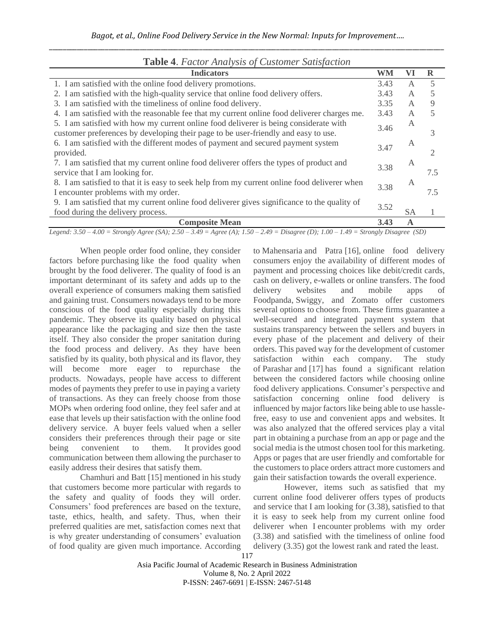| <b>Table 4.</b> Factor Analysis of Customer Satisfaction                                     |      |    |     |
|----------------------------------------------------------------------------------------------|------|----|-----|
| <b>Indicators</b>                                                                            |      | VI | R   |
| 1. I am satisfied with the online food delivery promotions.                                  |      | A  | 5   |
| 2. I am satisfied with the high-quality service that online food delivery offers.            | 3.43 | A  | 5   |
| 3. I am satisfied with the timeliness of online food delivery.                               | 3.35 | A  | 9   |
| 4. I am satisfied with the reasonable fee that my current online food deliverer charges me.  | 3.43 | A  | 5   |
| 5. I am satisfied with how my current online food deliverer is being considerate with        | 3.46 | A  |     |
| customer preferences by developing their page to be user-friendly and easy to use.           |      |    | 3   |
| 6. I am satisfied with the different modes of payment and secured payment system             |      | А  |     |
| provided.                                                                                    |      |    | 2   |
| 7. I am satisfied that my current online food deliverer offers the types of product and      |      | А  |     |
| service that I am looking for.                                                               |      |    | 7.5 |
| 8. I am satisfied to that it is easy to seek help from my current online food deliverer when |      | A  |     |
| I encounter problems with my order.                                                          |      |    | 7.5 |
| 9. I am satisfied that my current online food deliverer gives significance to the quality of |      |    |     |
| food during the delivery process.                                                            |      | SA |     |
| <b>Composite Mean</b>                                                                        |      | A  |     |

# **Table 4**. *Factor Analysis of Customer Satisfaction*

*Legend: 3.50 – 4.00 = Strongly Agree (SA); 2.50 – 3.49 = Agree (A); 1.50 – 2.49 = Disagree (D); 1.00 – 1.49 = Strongly Disagree (SD)*

When people order food online, they consider factors before purchasing like the food quality when brought by the food deliverer. The quality of food is an important determinant of its safety and adds up to the overall experience of consumers making them satisfied and gaining trust. Consumers nowadays tend to be more conscious of the food quality especially during this pandemic. They observe its quality based on physical appearance like the packaging and size then the taste itself. They also consider the proper sanitation during the food process and delivery. As they have been satisfied by its quality, both physical and its flavor, they will become more eager to repurchase the products. Nowadays, people have access to different modes of payments they prefer to use in paying a variety of transactions. As they can freely choose from those MOPs when ordering food online, they feel safer and at ease that levels up their satisfaction with the online food delivery service. A buyer feels valued when a seller considers their preferences through their page or site being convenient to them. It provides good communication between them allowing the purchaser to easily address their desires that satisfy them.

Chamhuri and Batt [15] mentioned in his study that customers become more particular with regards to the safety and quality of foods they will order. Consumers' food preferences are based on the texture, taste, ethics, health, and safety. Thus, when their preferred qualities are met, satisfaction comes next that is why greater understanding of consumers' evaluation of food quality are given much importance. According

to Mahensaria and Patra [16], online food delivery consumers enjoy the availability of different modes of payment and processing choices like debit/credit cards, cash on delivery, e-wallets or online transfers. The food delivery websites and mobile apps of Foodpanda, Swiggy, and Zomato offer customers several options to choose from. These firms guarantee a well-secured and integrated payment system that sustains transparency between the sellers and buyers in every phase of the placement and delivery of their orders. This paved way for the development of customer satisfaction within each company. The study of Parashar and [17] has found a significant relation between the considered factors while choosing online food delivery applications. Consumer's perspective and satisfaction concerning online food delivery is influenced by major factors like being able to use hasslefree, easy to use and convenient apps and websites. It was also analyzed that the offered services play a vital part in obtaining a purchase from an app or page and the social media is the utmost chosen tool for this marketing. Apps or pages that are user friendly and comfortable for the customers to place orders attract more customers and gain their satisfaction towards the overall experience.

However, items such as satisfied that my current online food deliverer offers types of products and service that I am looking for (3.38), satisfied to that it is easy to seek help from my current online food deliverer when I encounter problems with my order (3.38) and satisfied with the timeliness of online food delivery (3.35) got the lowest rank and rated the least.

Asia Pacific Journal of Academic Research in Business Administration Volume 8, No. 2 April 2022 P-ISSN: 2467-6691 | E-ISSN: 2467-5148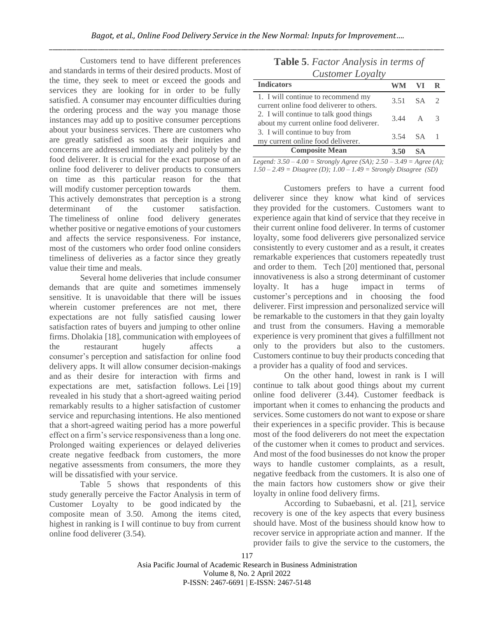Customers tend to have different preferences and standards in terms of their desired products. Most of the time, they seek to meet or exceed the goods and services they are looking for in order to be fully satisfied. A consumer may encounter difficulties during the ordering process and the way you manage those instances may add up to positive consumer perceptions about your business services. There are customers who are greatly satisfied as soon as their inquiries and concerns are addressed immediately and politely by the food deliverer. It is crucial for the exact purpose of an online food deliverer to deliver products to consumers on time as this particular reason for the that will modify customer perception towards them. This actively demonstrates that perception is a strong determinant of the customer satisfaction. The timeliness of online food delivery generates whether positive or negative emotions of your customers and affects the service responsiveness. For instance, most of the customers who order food online considers timeliness of deliveries as a factor since they greatly value their time and meals.

Several home deliveries that include consumer demands that are quite and sometimes immensely sensitive. It is unavoidable that there will be issues wherein customer preferences are not met, there expectations are not fully satisfied causing lower satisfaction rates of buyers and jumping to other online firms. Dholakia [18], communication with employees of the restaurant hugely affects a consumer's perception and satisfaction for online food delivery apps. It will allow consumer decision-makings and as their desire for interaction with firms and expectations are met, satisfaction follows. Lei [19] revealed in his study that a short-agreed waiting period remarkably results to a higher satisfaction of customer service and repurchasing intentions. He also mentioned that a short-agreed waiting period has a more powerful effect on a firm's service responsiveness than a long one. Prolonged waiting experiences or delayed deliveries create negative feedback from customers, the more negative assessments from consumers, the more they will be dissatisfied with your service.

Table 5 shows that respondents of this study generally perceive the Factor Analysis in term of Customer Loyalty to be good indicated by the composite mean of 3.50. Among the items cited, highest in ranking is I will continue to buy from current online food deliverer (3.54).

|  | <b>Table 5.</b> Factor Analysis in terms of |  |
|--|---------------------------------------------|--|
|  | Customer Loyalty                            |  |

| <b>Indicators</b>                                                                 | WM                     | VI. |  |  |  |
|-----------------------------------------------------------------------------------|------------------------|-----|--|--|--|
| 1. I will continue to recommend my<br>current online food deliverer to others.    | 3.51 SA 2              |     |  |  |  |
| 2. I will continue to talk good things<br>about my current online food deliverer. | $3.44 \quad A \quad 3$ |     |  |  |  |
| 3. I will continue to buy from<br>my current online food deliverer.               | 3.54 SA 1              |     |  |  |  |
| <b>Composite Mean</b>                                                             |                        |     |  |  |  |

*Legend: 3.50 – 4.00 = Strongly Agree (SA); 2.50 – 3.49 = Agree (A); 1.50 – 2.49 = Disagree (D); 1.00 – 1.49 = Strongly Disagree (SD)*

Customers prefers to have a current food deliverer since they know what kind of services they provided for the customers. Customers want to experience again that kind of service that they receive in their current online food deliverer. In terms of customer loyalty, some food deliverers give personalized service consistently to every customer and as a result, it creates remarkable experiences that customers repeatedly trust and order to them. Tech [20] mentioned that, personal innovativeness is also a strong determinant of customer loyalty. It has a huge impact in terms of customer's perceptions and in choosing the food deliverer. First impression and personalized service will be remarkable to the customers in that they gain loyalty and trust from the consumers. Having a memorable experience is very prominent that gives a fulfillment not only to the providers but also to the customers. Customers continue to buy their products conceding that a provider has a quality of food and services.

On the other hand, lowest in rank is I will continue to talk about good things about my current online food deliverer (3.44). Customer feedback is important when it comes to enhancing the products and services. Some customers do not want to expose or share their experiences in a specific provider. This is because most of the food deliverers do not meet the expectation of the customer when it comes to product and services. And most of the food businesses do not know the proper ways to handle customer complaints, as a result, negative feedback from the customers. It is also one of the main factors how customers show or give their loyalty in online food delivery firms.

According to Subaebasni, et al. [21], service recovery is one of the key aspects that every business should have. Most of the business should know how to recover service in appropriate action and manner. If the provider fails to give the service to the customers, the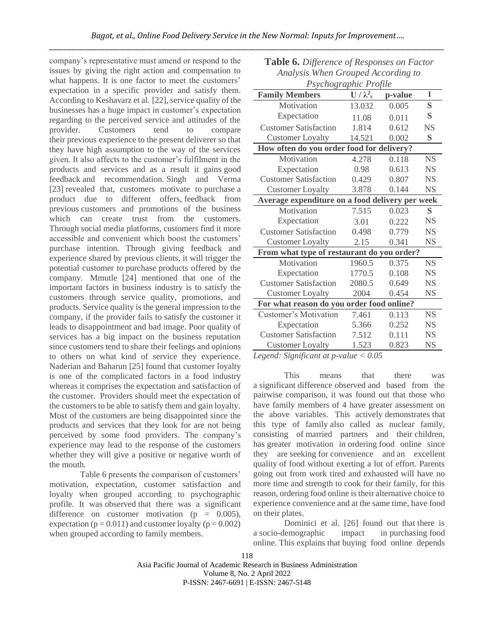company's representative must amend or respond to the issues by giving the right action and compensation to what happens. It is one factor to meet the customers' expectation in a specific provider and satisfy them. According to Keshavarz et al. [22], service quality of the businesses has a huge impact in customer's expectation regarding to the perceived service and attitudes of the provider. Customers tend to compare their previous experience to the present deliverer so that they have high assumption to the way of the services given. It also affects to the customer's fulfilment in the products and services and as a result it gains good feedback and recommendation. Singh and Verma [23] revealed that, customers motivate to purchase a product due to different offers, feedback from previous customers and promotions of the business which can create trust from the customers. Through social media platforms, customers find it more accessible and convenient which boost the customers' purchase intention. Through giving feedback and experience shared by previous clients, it will trigger the potential customer to purchase products offered by the company. Mmutle [24] mentioned that one of the important factors in business industry is to satisfy the customers through service quality, promotions, and products. Service quality is the general impression to the company, if the provider fails to satisfy the customer it leads to disappointment and bad image. Poor quality of services has a big impact on the business reputation since customers tend to share their feelings and opinions to others on what kind of service they experience. Naderian and Baharun [25] found that customer loyalty is one of the complicated factors in a food industry whereas it comprises the expectation and satisfaction of the customer. Providers should meet the expectation of the customers to be able to satisfy them and gain loyalty. Most of the customers are being disappointed since the products and services that they look for are not being perceived by some food providers. The company's experience may lead to the response of the customers whether they will give a positive or negative worth of the mouth.

Table 6 presents the comparison of customers' motivation, expectation, customer satisfaction and loyalty when grouped according to psychographic profile. It was observed that there was a significant difference on customer motivation ( $p = 0.005$ ), expectation ( $p = 0.011$ ) and customer loyalty ( $p = 0.002$ ) when grouped according to family members.

| www.your.com/010upou/moorums/10<br>Psychographic Profile |                          |         |              |  |
|----------------------------------------------------------|--------------------------|---------|--------------|--|
| <b>Family Members</b>                                    | $\mathbf{U}/\lambda_c^2$ | p-value | $\mathbf{I}$ |  |
| Motivation                                               | 13.032                   | 0.005   | S            |  |
| Expectation                                              | 11.08                    | 0.011   | S            |  |
| <b>Customer Satisfaction</b>                             | 1.814                    | 0.612   | <b>NS</b>    |  |
| <b>Customer Loyalty</b>                                  | 14.521                   | 0.002   | S            |  |
| How often do you order food for delivery?                |                          |         |              |  |
| Motivation                                               | 4.278                    | 0.118   | <b>NS</b>    |  |
| Expectation                                              | 0.98                     | 0.613   | <b>NS</b>    |  |
| <b>Customer Satisfaction</b>                             | 0.429                    | 0.807   | <b>NS</b>    |  |
| <b>Customer Loyalty</b>                                  | 3.878                    | 0.144   | <b>NS</b>    |  |
| Average expenditure on a food delivery per week          |                          |         |              |  |
| Motivation                                               | 7.515                    | 0.023   | S            |  |
| Expectation                                              | 3.01                     | 0.222   | <b>NS</b>    |  |
| <b>Customer Satisfaction</b>                             | 0.498                    | 0.779   | <b>NS</b>    |  |
| <b>Customer Loyalty</b>                                  | 2.15                     | 0.341   | <b>NS</b>    |  |
| From what type of restaurant do you order?               |                          |         |              |  |
| Motivation                                               | 1960.5                   | 0.375   | <b>NS</b>    |  |
| Expectation                                              | 1770.5                   | 0.108   | <b>NS</b>    |  |
| <b>Customer Satisfaction</b>                             | 2080.5                   | 0.649   | <b>NS</b>    |  |
| <b>Customer Loyalty</b>                                  | 2004                     | 0.454   | <b>NS</b>    |  |
| For what reason do you order food online?                |                          |         |              |  |
| <b>Customer's Motivation</b>                             | 7.461                    | 0.113   | <b>NS</b>    |  |
| Expectation                                              | 5.366                    | 0.252   | <b>NS</b>    |  |
| <b>Customer Satisfaction</b>                             | 7.512                    | 0.111   | <b>NS</b>    |  |
| <b>Customer Loyalty</b>                                  | 1.523                    | 0.823   | <b>NS</b>    |  |
| Logand: Significant at n-value $\lt 0.05$                |                          |         |              |  |

**Table 6.** *Difference of Responses on Factor Analysis When Grouped According to* 

*Legend: Significant at p-value < 0.05*

This means that there was a significant difference observed and based from the pairwise comparison, it was found out that those who have family members of 4 have greater assessment on the above variables. This actively demonstrates that this type of family also called as nuclear family, consisting of married partners and their children, has greater motivation in ordering food online since they are seeking for convenience and an excellent quality of food without exerting a lot of effort. Parents going out from work tired and exhausted will have no more time and strength to cook for their family, for this reason, ordering food online is their alternative choice to experience convenience and at the same time, have food on their plates.

Dominici et al. [26] found out that there is a socio-demographic impact in purchasing food online. This explains that buying food online depends

## 118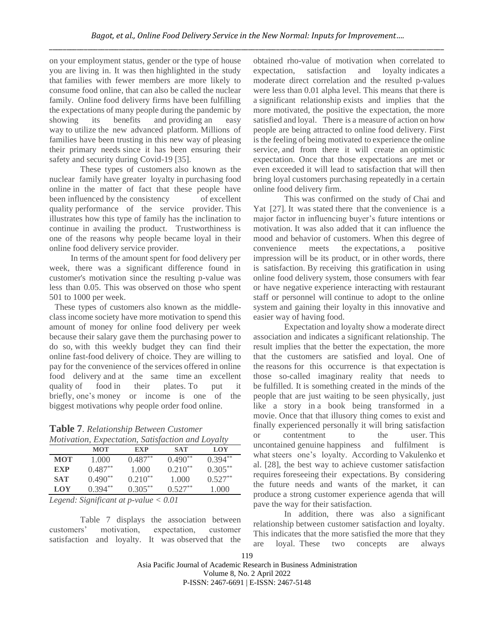on your employment status, gender or the type of house you are living in. It was then highlighted in the study that families with fewer members are more likely to consume food online, that can also be called the nuclear family. Online food delivery firms have been fulfilling the expectations of many people during the pandemic by showing its benefits and providing an easy way to utilize the new advanced platform. Millions of families have been trusting in this new way of pleasing their primary needs since it has been ensuring their safety and security during Covid-19 [35].

These types of customers also known as the nuclear family have greater loyalty in purchasing food online in the matter of fact that these people have been influenced by the consistency of excellent quality performance of the service provider. This illustrates how this type of family has the inclination to continue in availing the product. Trustworthiness is one of the reasons why people became loyal in their online food delivery service provider.

In terms of the amount spent for food delivery per week, there was a significant difference found in customer's motivation since the resulting p-value was less than 0.05. This was observed on those who spent 501 to 1000 per week.

These types of customers also known as the middleclass income society have more motivation to spend this amount of money for online food delivery per week because their salary gave them the purchasing power to do so, with this weekly budget they can find their online fast-food delivery of choice. They are willing to pay for the convenience of the services offered in online food delivery and at the same time an excellent quality of food in their plates. To put it briefly, one's money or income is one of the biggest motivations why people order food online.

**Table 7**. *Relationship Between Customer Motivation, Expectation, Satisfaction and Loyalty*

| <u>htonnandig Baptenandig Bandjachon ana Boyani</u> |            |              |              |            |  |
|-----------------------------------------------------|------------|--------------|--------------|------------|--|
|                                                     | MOT        | <b>EXP</b>   | SAT          | LOY        |  |
| <b>MOT</b>                                          | 1.000      | $0.487**$    | $0.490**$    | $0.394***$ |  |
| <b>EXP</b>                                          | $0.487***$ | 1.000        | $0.210^{**}$ | $0.305***$ |  |
| <b>SAT</b>                                          | $0.490**$  | $0.210^{**}$ | 1.000        | $0.527***$ |  |
| LOY                                                 | $0.394**$  | $0.305***$   | $0.527**$    | 1.000      |  |
|                                                     |            |              |              |            |  |

*Legend: Significant at p-value < 0.01*

Table 7 displays the association between customers' motivation, expectation, customer satisfaction and loyalty. It was observed that the obtained rho-value of motivation when correlated to expectation, satisfaction and loyalty indicates a moderate direct correlation and the resulted p-values were less than 0.01 alpha level. This means that there is a significant relationship exists and implies that the more motivated, the positive the expectation, the more satisfied and loyal. There is a measure of action on how people are being attracted to online food delivery. First is the feeling of being motivated to experience the online service, and from there it will create an optimistic expectation. Once that those expectations are met or even exceeded it will lead to satisfaction that will then bring loyal customers purchasing repeatedly in a certain online food delivery firm.

This was confirmed on the study of Chai and Yat [27]. It was stated there that the convenience is a major factor in influencing buyer's future intentions or motivation. It was also added that it can influence the mood and behavior of customers. When this degree of convenience meets the expectations, a positive impression will be its product, or in other words, there is satisfaction. By receiving this gratification in using online food delivery system, those consumers with fear or have negative experience interacting with restaurant staff or personnel will continue to adopt to the online system and gaining their loyalty in this innovative and easier way of having food.

Expectation and loyalty show a moderate direct association and indicates a significant relationship. The result implies that the better the expectation, the more that the customers are satisfied and loyal. One of the reasons for this occurrence is that expectation is those so-called imaginary reality that needs to be fulfilled. It is something created in the minds of the people that are just waiting to be seen physically, just like a story in a book being transformed in a movie. Once that that illusory thing comes to exist and finally experienced personally it will bring satisfaction or contentment to the user. This uncontained genuine happiness and fulfilment is what steers one's loyalty. According to Vakulenko et al. [28], the best way to achieve customer satisfaction requires foreseeing their expectations. By considering the future needs and wants of the market, it can produce a strong customer experience agenda that will pave the way for their satisfaction.

In addition, there was also a significant relationship between customer satisfaction and loyalty. This indicates that the more satisfied the more that they are loyal. These two concepts are always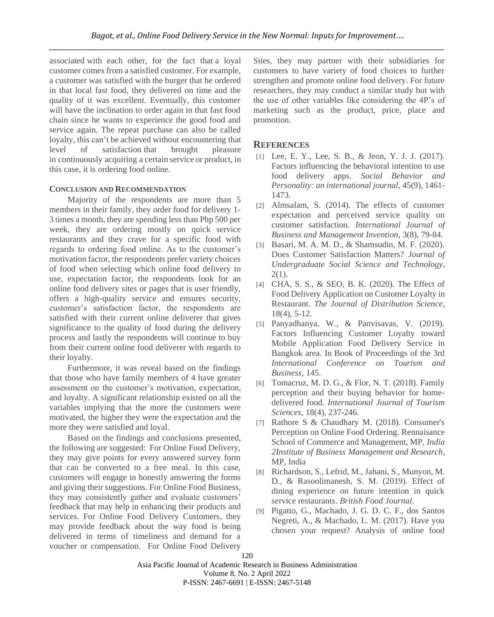associated with each other, for the fact that a loyal customer comes from a satisfied customer.For example, a customer was satisfied with the burger that he ordered in that local fast food, they delivered on time and the quality of it was excellent. Eventually, this customer will have the inclination to order again in that fast food chain since he wants to experience the good food and service again. The repeat purchase can also be called loyalty, this can't be achieved without encountering that level of satisfaction that brought pleasure in continuously acquiring a certain service or product, in this case, it is ordering food online.

### **CONCLUSION AND RECOMMENDATION**

Majority of the respondents are more than 5 members in their family, they order food for delivery 1- 3 times a month, they are spending less than Php 500 per week, they are ordering mostly on quick service restaurants and they crave for a specific food with regards to ordering food online. As to the customer's motivation factor, the respondents prefer variety choices of food when selecting which online food delivery to use, expectation factor, the respondents look for an online food delivery sites or pages that is user friendly, offers a high-quality service and ensures security, customer's satisfaction factor, the respondents are satisfied with their current online deliverer that gives significance to the quality of food during the delivery process and lastly the respondents will continue to buy from their current online food deliverer with regards to their loyalty.

Furthermore, it was reveal based on the findings that those who have family members of 4 have greater assessment on the customer's motivation, expectation, and loyalty. A significant relationship existed on all the variables implying that the more the customers were motivated, the higher they were the expectation and the more they were satisfied and loyal.

Based on the findings and conclusions presented, the following are suggested: For Online Food Delivery, they may give points for every answered survey form that can be converted to a free meal. In this case, customers will engage in honestly answering the forms and giving their suggestions. For Online Food Business, they may consistently gather and evaluate customers' feedback that may help in enhancing their products and services. For Online Food Delivery Customers, they may provide feedback about the way food is being delivered in terms of timeliness and demand for a voucher or compensation. For Online Food Delivery Sites, they may partner with their subsidiaries for customers to have variety of food choices to further strengthen and promote online food delivery. For future researchers, they may conduct a similar study but with the use of other variables like considering the 4P's of marketing such as the product, price, place and promotion.

# **REFERENCES**

- [1] Lee, E. Y., Lee, S. B., & Jeon, Y. J. J. (2017). Factors influencing the behavioral intention to use food delivery apps. *Social Behavior and Personality: an international journal*, 45(9), 1461- 1473.
- [2] Almsalam, S. (2014). The effects of customer expectation and perceived service quality on customer satisfaction. *International Journal of Business and Management Invention*, 3(8), 79-84.
- [3] Basari, M. A. M. D., & Shamsudin, M. F. (2020). Does Customer Satisfaction Matters? *Journal of Undergraduate Social Science and Technology*,  $2(1)$ .
- [4] CHA, S. S., & SEO, B. K. (2020). The Effect of Food Delivery Application on Customer Loyalty in Restaurant. *The Journal of Distribution Science*, 18(4), 5-12.
- [5] Panyadhanya, W., & Panvisavas, V. (2019). Factors Influencing Customer Loyalty toward Mobile Application Food Delivery Service in Bangkok area. In Book of Proceedings of the 3rd *International Conference on Tourism and Business*, 145.
- [6] Tomacruz, M. D. G., & Flor, N. T. (2018). Family perception and their buying behavior for homedelivered food. *International Journal of Tourism Sciences*, 18(4), 237-246.
- [7] Rathore S & Chaudhary M. (2018). Consumer's Perception on Online Food Ordering. Rennaisance School of Commerce and Management, MP, *India 2Institute of Business Management and Research*, MP, India
- [8] Richardson, S., Lefrid, M., Jahani, S., Munyon, M. D., & Rasoolimanesh, S. M. (2019). Effect of dining experience on future intention in quick service restaurants. *British Food Journal*.
- [9] Pigatto, G., Machado, J. G. D. C. F., dos Santos Negreti, A., & Machado, L. M. (2017). Have you chosen your request? Analysis of online food